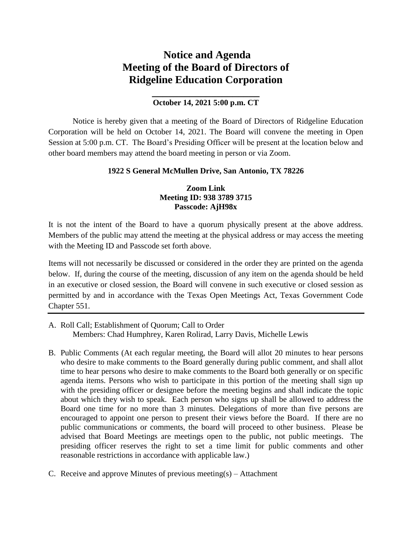# **Notice and Agenda Meeting of the Board of Directors of Ridgeline Education Corporation**

## **\_\_\_\_\_\_\_\_\_\_\_\_\_\_\_\_\_\_\_\_ October 14, 2021 5:00 p.m. CT**

Notice is hereby given that a meeting of the Board of Directors of Ridgeline Education Corporation will be held on October 14, 2021. The Board will convene the meeting in Open Session at 5:00 p.m. CT. The Board's Presiding Officer will be present at the location below and other board members may attend the board meeting in person or via Zoom.

#### **1922 S General McMullen Drive, San Antonio, TX 78226**

### **Zoom Link Meeting ID: 938 3789 3715 Passcode: AjH98x**

It is not the intent of the Board to have a quorum physically present at the above address. Members of the public may attend the meeting at the physical address or may access the meeting with the Meeting ID and Passcode set forth above.

Items will not necessarily be discussed or considered in the order they are printed on the agenda below. If, during the course of the meeting, discussion of any item on the agenda should be held in an executive or closed session, the Board will convene in such executive or closed session as permitted by and in accordance with the Texas Open Meetings Act, Texas Government Code Chapter 551.

- A. Roll Call; Establishment of Quorum; Call to Order Members: Chad Humphrey, Karen Rolirad, Larry Davis, Michelle Lewis
- B. Public Comments (At each regular meeting, the Board will allot 20 minutes to hear persons who desire to make comments to the Board generally during public comment, and shall allot time to hear persons who desire to make comments to the Board both generally or on specific agenda items. Persons who wish to participate in this portion of the meeting shall sign up with the presiding officer or designee before the meeting begins and shall indicate the topic about which they wish to speak. Each person who signs up shall be allowed to address the Board one time for no more than 3 minutes. Delegations of more than five persons are encouraged to appoint one person to present their views before the Board. If there are no public communications or comments, the board will proceed to other business. Please be advised that Board Meetings are meetings open to the public, not public meetings. The presiding officer reserves the right to set a time limit for public comments and other reasonable restrictions in accordance with applicable law.)
- C. Receive and approve Minutes of previous meeting(s) Attachment